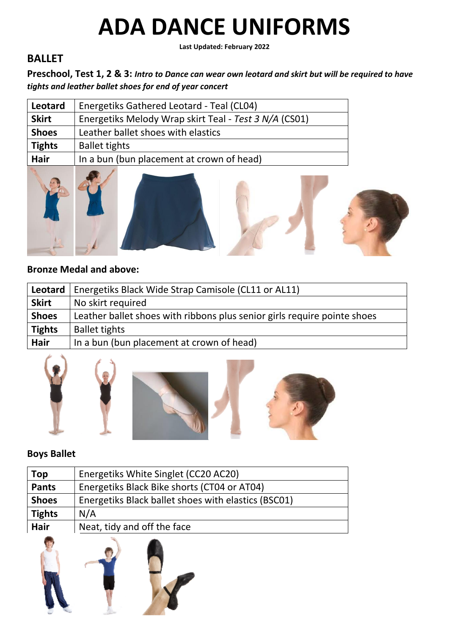**Last Updated: February 2022**

## **BALLET**

**Preschool, Test 1, 2 & 3:** *Intro to Dance can wear own leotard and skirt but will be required to have tights and leather ballet shoes for end of year concert*

| Leotard       | Energetiks Gathered Leotard - Teal (CL04)             |
|---------------|-------------------------------------------------------|
| <b>Skirt</b>  | Energetiks Melody Wrap skirt Teal - Test 3 N/A (CS01) |
| <b>Shoes</b>  | Leather ballet shoes with elastics                    |
| <b>Tights</b> | <b>Ballet tights</b>                                  |
| <b>Hair</b>   | In a bun (bun placement at crown of head)             |
|               |                                                       |



#### **Bronze Medal and above:**

| Leotard       | Energetiks Black Wide Strap Camisole (CL11 or AL11)                      |
|---------------|--------------------------------------------------------------------------|
| <b>Skirt</b>  | No skirt required                                                        |
| <b>Shoes</b>  | Leather ballet shoes with ribbons plus senior girls require pointe shoes |
| <b>Tights</b> | <b>Ballet tights</b>                                                     |
| Hair          | In a bun (bun placement at crown of head)                                |



#### **Boys Ballet**

| Top           | Energetiks White Singlet (CC20 AC20)                |
|---------------|-----------------------------------------------------|
| <b>Pants</b>  | Energetiks Black Bike shorts (CT04 or AT04)         |
| <b>Shoes</b>  | Energetiks Black ballet shoes with elastics (BSC01) |
| <b>Tights</b> | N/A                                                 |
| Hair          | Neat, tidy and off the face                         |
|               |                                                     |

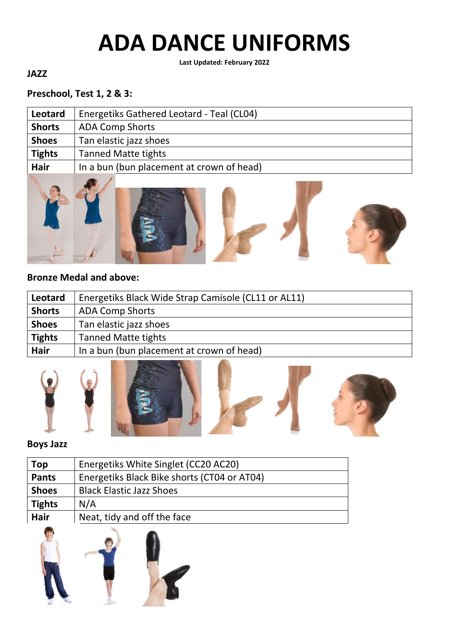**Last Updated: February 2022**

## **JAZZ**

#### **Preschool, Test 1, 2 & 3:**

| Leotard       | Energetiks Gathered Leotard - Teal (CL04) |
|---------------|-------------------------------------------|
| <b>Shorts</b> | <b>ADA Comp Shorts</b>                    |
| <b>Shoes</b>  | Tan elastic jazz shoes                    |
| <b>Tights</b> | <b>Tanned Matte tights</b>                |
| <b>Hair</b>   | In a bun (bun placement at crown of head) |
|               |                                           |



#### **Bronze Medal and above:**

| Leotard       | Energetiks Black Wide Strap Camisole (CL11 or AL11) |
|---------------|-----------------------------------------------------|
| <b>Shorts</b> | <b>ADA Comp Shorts</b>                              |
| <b>Shoes</b>  | Tan elastic jazz shoes                              |
| <b>Tights</b> | <b>Tanned Matte tights</b>                          |
| <b>Hair</b>   | In a bun (bun placement at crown of head)           |





### **Boys Jazz**

| Top           | Energetiks White Singlet (CC20 AC20)        |
|---------------|---------------------------------------------|
| <b>Pants</b>  | Energetiks Black Bike shorts (CT04 or AT04) |
| <b>Shoes</b>  | <b>Black Elastic Jazz Shoes</b>             |
| <b>Tights</b> | N/A                                         |
| <b>Hair</b>   | Neat, tidy and off the face                 |
|               |                                             |

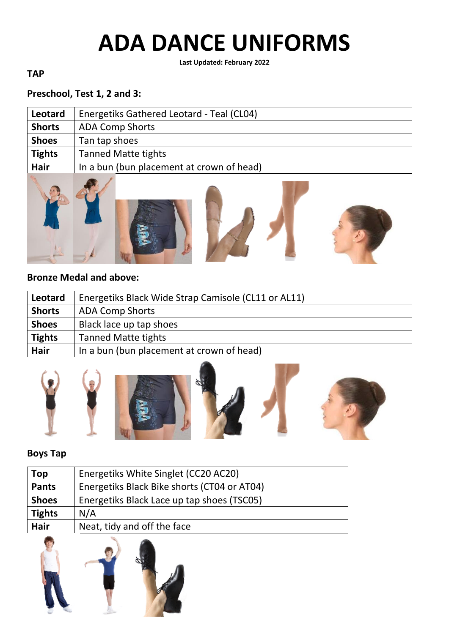**Last Updated: February 2022**

#### **TAP**

## **Preschool, Test 1, 2 and 3:**

| Leotard       | Energetiks Gathered Leotard - Teal (CL04) |
|---------------|-------------------------------------------|
| <b>Shorts</b> | <b>ADA Comp Shorts</b>                    |
| <b>Shoes</b>  | Tan tap shoes                             |
| <b>Tights</b> | <b>Tanned Matte tights</b>                |
| Hair          | In a bun (bun placement at crown of head) |
|               |                                           |



#### **Bronze Medal and above:**

| Leotard       | Energetiks Black Wide Strap Camisole (CL11 or AL11) |
|---------------|-----------------------------------------------------|
| <b>Shorts</b> | <b>ADA Comp Shorts</b>                              |
| <b>Shoes</b>  | Black lace up tap shoes                             |
| <b>Tights</b> | <b>Tanned Matte tights</b>                          |
| Hair          | In a bun (bun placement at crown of head)           |



#### **Boys Tap**

| Top           | Energetiks White Singlet (CC20 AC20)        |
|---------------|---------------------------------------------|
| <b>Pants</b>  | Energetiks Black Bike shorts (CT04 or AT04) |
| <b>Shoes</b>  | Energetiks Black Lace up tap shoes (TSC05)  |
| <b>Tights</b> | N/A                                         |
| Hair          | Neat, tidy and off the face                 |

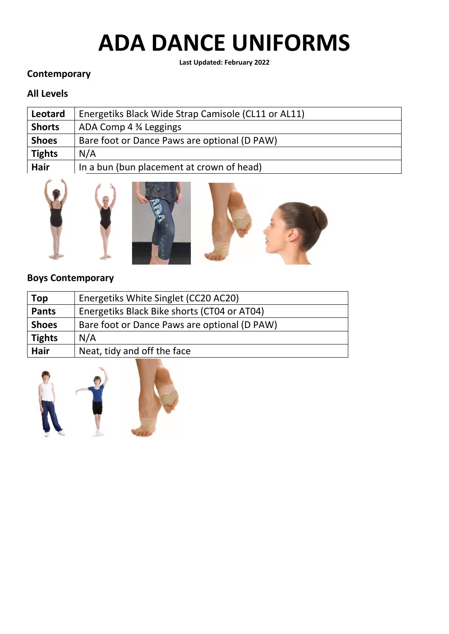**Last Updated: February 2022**

#### **Contemporary**

### **All Levels**

| <b>Leotard</b> | Energetiks Black Wide Strap Camisole (CL11 or AL11) |
|----------------|-----------------------------------------------------|
| <b>Shorts</b>  | ADA Comp 4 % Leggings                               |
| <b>Shoes</b>   | Bare foot or Dance Paws are optional (D PAW)        |
| <b>Tights</b>  | N/A                                                 |
| <b>Hair</b>    | In a bun (bun placement at crown of head)           |







#### **Boys Contemporary**

| Top           | Energetiks White Singlet (CC20 AC20)         |
|---------------|----------------------------------------------|
| <b>Pants</b>  | Energetiks Black Bike shorts (CT04 or AT04)  |
| <b>Shoes</b>  | Bare foot or Dance Paws are optional (D PAW) |
| <b>Tights</b> | N/A                                          |
| Hair          | Neat, tidy and off the face                  |